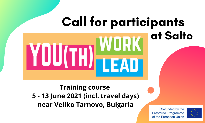# Call for participants at SaltoYOU(TH)

### **Training course 5 - 13 June 2021 (incl. travel days) near Veliko Tarnovo, Bulgaria**

Co-funded by the Frasmus+ Programme of the European Union

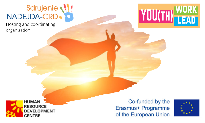# Sdrujenie<br>
NADEJDA-CRD

Hosting and coordinating organisation





Co-funded by the Erasmus+ Programme of the European Union

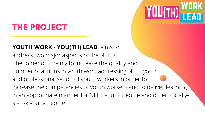## THE PROJECT

### **YOUTH WORK - YOU(TH) LEAD** aims to address two major aspects of the NEETs phenomenon, mainly to increase the quality and number of actions in youth work addressing NEET youth and professionalisation of youth workers in order to increase the competencies of youth workers and to deliver learning in an appropriate manner for NEET young people and other sociallyat-risk young people.

YOU(TH) WORK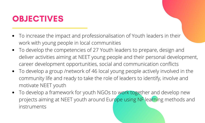### OBJECTIVES

- To increase the impact and professionalisation of Youth leaders in their work with young people in local communities
- To develop the competencies of 27 Youth leaders to prepare, design and deliver activities aiming at NEET young people and their personal development, career development opportunities, social and communication conflicts
- To develop a group /network of 46 local young people actively involved in the community life and ready to take the role of leaders to identify, involve and motivate NEET youth
- To develop a framework for youth NGOs to work together and develop new projects aiming at NEET youth around Europe using NF learning methods and instruments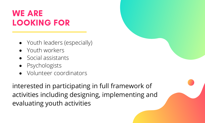### WE ARE LOOKING FOR

- Youth leaders (especially)
- Youth workers
- Social assistants
- Psychologists
- Volunteer coordinators

interested in participating in full framework of activities including designing, implementing and evaluating youth activities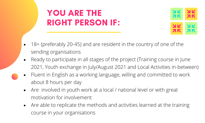# YOU ARE THE RIGHT PERSON IF:



- 18+ (preferably 20-45) and are resident in the country of one of the sending organisations
- Ready to participate in all stages of the project (Training course in June 2021, Youth exchange in July/August 2021 and Local Activities in-between)
- Fluent in English as a working language, willing and committed to work about 8 hours per day
- Are involved in youth work at a local / national level or with great motivation for involvement
- Are able to replicate the methods and activities learned at the training course in your organisations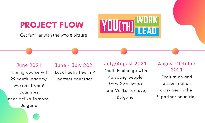# **PROJECT FLOW YOU(TH)** WORK

Get familiar with the whole picture

June 2021 Training course with 29 youth leaders/ workers from 9 countries near Veliko Tarnovo, Bulgaria

June - July 2021 Local activities in 9 partner countries

#### July/August 2021

Youth Exchange with 46 young people from 9 countries near Veliko Tarnovo, Bulgaria

August-October 2021 Evaluation and dissemination activities in the 9 partner countries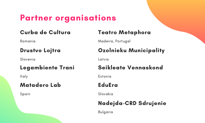### Partner organisations

### Curba de Cultura

### Drustvo Lojtra

### Legambiente Trani

Italy

### Matadero Lab

Spain

# **Curba de Cultura de Teatro Metaphora<br>Romania de Cultura de Madeira Portugal**

Madeira, Portugal

# Slovenia Ozolnieku Municipality

Latvia

### Seikleate Vennaskond

Estonia

### EduEra

Slovakia

### Nadejda-CRD Sdrujenie

Bulgaria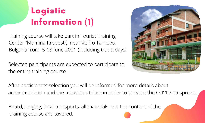# Logistic Information (1)

Training course will take part in Tourist Training Center "Momina Krepost", near Veliko Tarnovo, Bulgaria from 5-13 June 2021 (including travel days)

Selected participants are expected to participate to the entire training course.



After participants selection you will be informed for more details about accommodation and the measures taken in order to prevent the COVID-19 spread.

Board, lodging, local transports, all materials and the content of the training course are covered.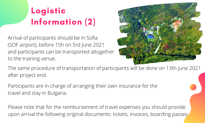# Logistic Information (2)

Arrival of participants should be in Sofia (SOF airport), before 15h on 5rd June 2021 and participants can be transported altogether to the training venue.



The same procedure of transportation of participants will be done on 13th June 2021 after project end.

Participants are in charge of arranging their own insurance for the travel and stay in Bulgaria.

Please note that for the reimbursement of travel expenses you should provide upon arrival the following original documents: tickets, invoices, boarding passes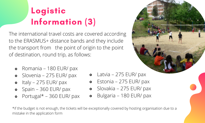# Logistic Information (3)

The international travel costs are covered according to the ERASMUS+ distance bands and they include the transport from the point of origin to the point of destination, round trip, as follows:

- Romania 180 EUR/ pax
- o Slovenia 275 EUR/ pax
- $\bullet$  Italy 275 EUR/ pax
- Spain 360 EUR/ pax
- $\bullet$  Portugal\* 360 EUR/ pax



- Latvia 275 EUR/ pax
- Estonia 275 EUR/ pax
- Slovakia 275 EUR/ pax  $\bullet$
- Bulgaria 180 EUR/ pax

\*if the budget is not enough, the tickets will be exceptionally covered by hosting organisation due to a mistake in the application form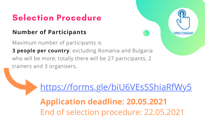## Selection Procedure

### **Number of Participants**

Maximum number of participants is

**3 people per country**, excluding Romania and Bulgaria who will be more; totally there will be 27 participants, 2 trainers and 3 organisers.



**Application deadline: 20.05.2021** End of selection procedure: 22.05.2021 [https://forms.gle/biU6VEsSShiaRfWy5](https://forms.gle/C2XuDCjjhagxLysi7)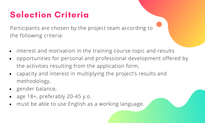# Selection Criteria

Participants are chosen by the project team according to the following criteria:

- interest and motivation in the training course topic and results
- opportunities for personal and professional development offered by  $\bullet$ the activities resulting from the application form,
- capacity and interest in multiplying the project's results and  $\bullet$ methodology,
- gender balance,
- age 18+, preferably 20-45 y.o.
- must be able to use English as a working language.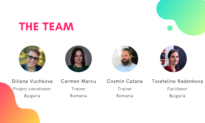# THE TEAM









Diliana Vuchkova Project coordinator Bulgaria

Carmen Marcu Trainer Romania

Cosmin Catana Trainer Romania

Tsvetelina Radenkova Facilitator Bulgaria